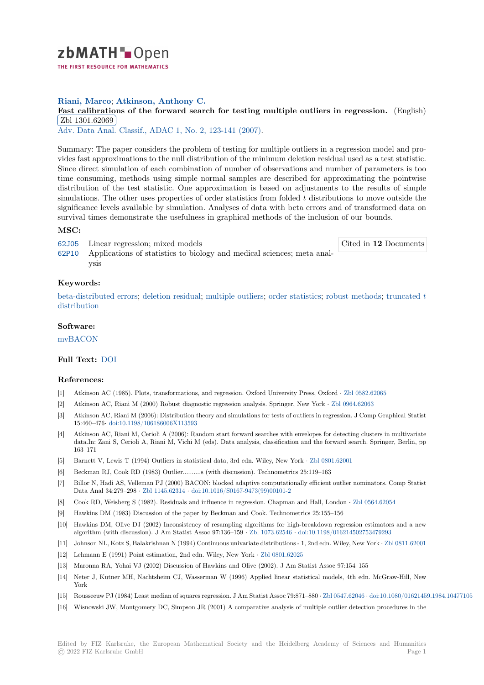

# **Riani, Marco**; **Atkinson, Anthony C.**

**[F](https://zbmath.org/)ast calibrations of the forward search for testing multiple outliers in regression.** (English) Zbl 1301.62069

Adv. Data Anal. Classif., ADAC 1, No. 2, 123-141 (2007).

[Summary: The paper considers the problem of testing for multiple outliers in a regression mod](https://zbmath.org/1301.62069)el and pro[vides fast approxim](https://zbmath.org/1301.62069)ations to the null distribution of the minimum deletion residual used as a test statistic. [Since direct simulation of each c](https://zbmath.org/journals/?q=se:4917)[ombination of number of](https://zbmath.org/?q=in:210863) observations and number of parameters is too time consuming, methods using simple normal samples are described for approximating the pointwise distribution of the test statistic. One approximation is based on adjustments to the results of simple simulations. The other uses properties of order statistics from folded *t* distributions to move outside the significance levels available by simulation. Analyses of data with beta errors and of transformed data on survival times demonstrate the usefulness in graphical methods of the inclusion of our bounds.

## **MSC:**

62J05 Linear regression; mixed models 62P10 Applications of statistics to biology and medical sciences; meta analysis Cited in **12** Documents

## **[Keyw](https://zbmath.org/classification/?q=cc:62J05)ords:**

[beta-d](https://zbmath.org/classification/?q=cc:62P10)istributed errors; deletion residual; multiple outliers; order statistics; robust methods; truncated *t* distribution

#### **Software:**

[mvBACON](https://zbmath.org/?q=ut:beta-distributed+errors)

### **Full Text:** DOI

#### **[References](https://swmath.org/software/36501):**

- [1] Atkinson AC (1985). Plots, transformations, and regression. Oxford University Press, Oxford *·* Zbl 0582.62065
- [2] Atkinson [AC, R](https://dx.doi.org/10.1007/s11634-007-0007-y)iani M (2000) Robust diagnostic regression analysis. Springer, New York *·* Zbl 0964.62063
- [3] Atkinson AC, Riani M (2006): Distribution theory and simulations for tests of outliers in regression. J Comp Graphical Statist 15:460–476*·* doi:10.1198/106186006X113593
- [4] Atkinson AC, Riani M, Cerioli A (2006): Random start forward searches with envelopes for det[ecting clusters i](https://zbmath.org/0582.62065)n multivariate data.In: Zani S, Cerioli A, Riani M, Vichi M (eds). Data analysis, classification and the fo[rward search. Sp](https://zbmath.org/0964.62063)ringer, Berlin, pp 163–171
- [5] Barnett V, [Lewis T \(1994\) Outliers in statis](https://dx.doi.org/10.1198/106186006X113593)tical data, 3rd edn. Wiley, New York *·* Zbl 0801.62001
- [6] Beckman RJ, Cook RD (1983) Outlier..........s (with discussion). Technometrics 25:119–163
- [7] Billor N, Hadi AS, Velleman PJ (2000) BACON: blocked adaptive computationally efficient outlier nominators. Comp Statist Data Anal 34:279–298 *·* Zbl 1145.62314 *·* doi:10.1016/S0167-9473(99)00101-2
- [8] Cook RD, Weisberg S (1982). Residuals and influence in regression. Chapman and [Hall, London](https://zbmath.org/0801.62001) *·* Zbl 0564.62054
- [9] Hawkins DM (1983) Discussion of the paper by Beckman and Cook. Technometrics 25:155–156
- [10] Hawkins DM, Olive DJ (2002) Inconsistency of resampling algorithms for high-breakdown regression estimators and a new algorithm (with discussi[on\). J Am Stati](https://zbmath.org/1145.62314)s[t Assoc 97:136–159](https://dx.doi.org/10.1016/S0167-9473(99)00101-2) *·* Zbl 1073.62546 *·* doi:10.1198/016214502753479293
- [11] Johnson NL, Kotz S, Balakrishnan N (1994) Continuous univariate distributions 1, 2nd edn. Wiley, [New York](https://zbmath.org/0564.62054) *·* Zbl 0811.62001
- [12] Lehmann E (1991) Point estimation, 2nd edn. Wiley, New York *·* Zbl 0801.62025
- [13] Maronna RA, Yohai VJ (2002) Discussion of Hawkins and Olive (2002). J Am Statist Assoc 97:154–155
- [14] Neter J, Kutner MH, Nachtsheim CJ, Wasserman W (1996) [Applied linear](https://zbmath.org/1073.62546) st[atistical models, 4th edn. McGra](https://dx.doi.org/10.1198/016214502753479293)[w-Hill, New](https://zbmath.org/0811.62001) York
- [15] Rousseeuw PJ (1984) Least median of squares regression. J Am Sta[tist Assoc 79:871](https://zbmath.org/0801.62025)–880 *·* Zbl 0547.62046 *·* doi:10.1080/01621459.1984.10477105
- [16] Wisnowski JW, Montgomery DC, Simpson JR (2001) A comparative analysis of multiple outlier detection procedures in the